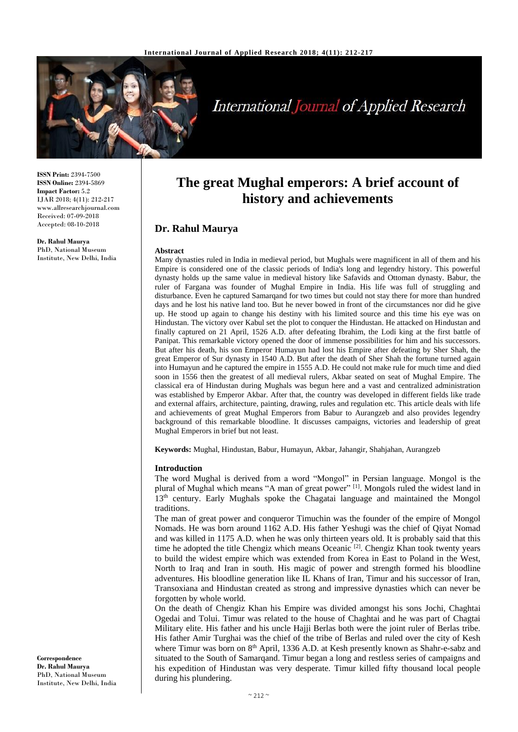

# **International Journal of Applied Research**

**ISSN Print:** 2394-7500 **ISSN Online:** 2394-5869 **Impact Factor:** 5.2 IJAR 2018; 4(11): 212-217 www.allresearchjournal.com Received: 07-09-2018 Accepted: 08-10-2018

**Dr. Rahul Maurya** PhD, National Museum Institute, New Delhi, India

# **The great Mughal emperors: A brief account of history and achievements**

# **Dr. Rahul Maurya**

#### **Abstract**

Many dynasties ruled in India in medieval period, but Mughals were magnificent in all of them and his Empire is considered one of the classic periods of India's long and legendry history. This powerful dynasty holds up the same value in medieval history like Safavids and Ottoman dynasty. Babur, the ruler of Fargana was founder of Mughal Empire in India. His life was full of struggling and disturbance. Even he captured Samarqand for two times but could not stay there for more than hundred days and he lost his native land too. But he never bowed in front of the circumstances nor did he give up. He stood up again to change his destiny with his limited source and this time his eye was on Hindustan. The victory over Kabul set the plot to conquer the Hindustan. He attacked on Hindustan and finally captured on 21 April, 1526 A.D. after defeating Ibrahim, the Lodi king at the first battle of Panipat. This remarkable victory opened the door of immense possibilities for him and his successors. But after his death, his son Emperor Humayun had lost his Empire after defeating by Sher Shah, the great Emperor of Sur dynasty in 1540 A.D. But after the death of Sher Shah the fortune turned again into Humayun and he captured the empire in 1555 A.D. He could not make rule for much time and died soon in 1556 then the greatest of all medieval rulers, Akbar seated on seat of Mughal Empire. The classical era of Hindustan during Mughals was begun here and a vast and centralized administration was established by Emperor Akbar. After that, the country was developed in different fields like trade and external affairs, architecture, painting, drawing, rules and regulation etc. This article deals with life and achievements of great Mughal Emperors from Babur to Aurangzeb and also provides legendry background of this remarkable bloodline. It discusses campaigns, victories and leadership of great Mughal Emperors in brief but not least.

**Keywords:** Mughal, Hindustan, Babur, Humayun, Akbar, Jahangir, Shahjahan, Aurangzeb

#### **Introduction**

The word Mughal is derived from a word "Mongol" in Persian language. Mongol is the plural of Mughal which means "A man of great power"<sup>[1]</sup>. Mongols ruled the widest land in 13<sup>th</sup> century. Early Mughals spoke the Chagatai language and maintained the Mongol traditions.

The man of great power and conqueror Timuchin was the founder of the empire of Mongol Nomads. He was born around 1162 A.D. His father Yeshugi was the chief of Qiyat Nomad and was killed in 1175 A.D. when he was only thirteen years old. It is probably said that this time he adopted the title Chengiz which means Oceanic <sup>[2]</sup>. Chengiz Khan took twenty years to build the widest empire which was extended from Korea in East to Poland in the West, North to Iraq and Iran in south. His magic of power and strength formed his bloodline adventures. His bloodline generation like IL Khans of Iran, Timur and his successor of Iran, Transoxiana and Hindustan created as strong and impressive dynasties which can never be forgotten by whole world.

On the death of Chengiz Khan his Empire was divided amongst his sons Jochi, Chaghtai Ogedai and Tolui. Timur was related to the house of Chaghtai and he was part of Chagtai Military elite. His father and his uncle Hajji Berlas both were the joint ruler of Berlas tribe. His father Amir Turghai was the chief of the tribe of Berlas and ruled over the city of Kesh where Timur was born on 8<sup>th</sup> April, 1336 A.D. at Kesh presently known as Shahr-e-sabz and situated to the South of Samarqand. Timur began a long and restless series of campaigns and his expedition of Hindustan was very desperate. Timur killed fifty thousand local people during his plundering.

**Correspondence Dr. Rahul Maurya** PhD, National Museum Institute, New Delhi, India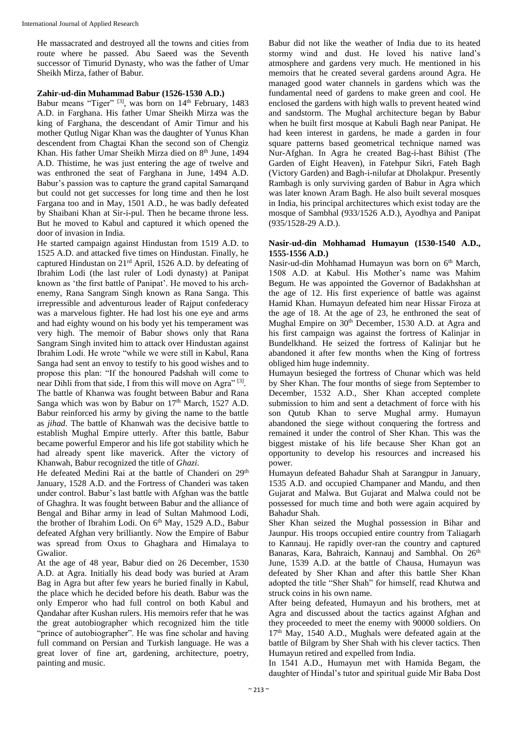He massacrated and destroyed all the towns and cities from route where he passed. Abu Saeed was the Seventh successor of Timurid Dynasty, who was the father of Umar Sheikh Mirza, father of Babur.

#### **Zahir-ud-din Muhammad Babur (1526-1530 A.D.)**

Babur means "Tiger" <sup>[3]</sup>, was born on 14<sup>th</sup> February, 1483 A.D. in Farghana. His father Umar Sheikh Mirza was the king of Farghana, the descendant of Amir Timur and his mother Qutlug Nigar Khan was the daughter of Yunus Khan descendent from Chagtai Khan the second son of Chengiz Khan. His father Umar Sheikh Mirza died on 8<sup>th</sup> June, 1494 A.D. Thistime, he was just entering the age of twelve and was enthroned the seat of Farghana in June, 1494 A.D. Babur's passion was to capture the grand capital Samarqand but could not get successes for long time and then he lost Fargana too and in May, 1501 A.D., he was badly defeated by Shaibani Khan at Sir-i-pul. Then he became throne less. But he moved to Kabul and captured it which opened the door of invasion in India.

He started campaign against Hindustan from 1519 A.D. to 1525 A.D. and attacked five times on Hindustan. Finally, he captured Hindustan on 21rd April, 1526 A.D. by defeating of Ibrahim Lodi (the last ruler of Lodi dynasty) at Panipat known as 'the first battle of Panipat'. He moved to his archenemy, Rana Sangram Singh known as Rana Sanga. This irrepressible and adventurous leader of Rajput confederacy was a marvelous fighter. He had lost his one eye and arms and had eighty wound on his body yet his temperament was very high. The memoir of Babur shows only that Rana Sangram Singh invited him to attack over Hindustan against Ibrahim Lodi. He wrote "while we were still in Kabul, Rana Sanga had sent an envoy to testify to his good wishes and to propose this plan: "If the honoured Padshah will come to near Dihli from that side, I from this will move on Agra"<sup>[3]</sup>. The battle of Khanwa was fought between Babur and Rana Sanga which was won by Babur on 17th March, 1527 A.D. Babur reinforced his army by giving the name to the battle as *jihad*. The battle of Khanwah was the decisive battle to establish Mughal Empire utterly. After this battle, Babur became powerful Emperor and his life got stability which he had already spent like maverick. After the victory of Khanwah, Babur recognized the title of *Ghazi*.

He defeated Medini Rai at the battle of Chanderi on 29<sup>th</sup> January, 1528 A.D. and the Fortress of Chanderi was taken under control. Babur's last battle with Afghan was the battle of Ghaghra. It was fought between Babur and the alliance of Bengal and Bihar army in lead of Sultan Mahmood Lodi, the brother of Ibrahim Lodi. On 6<sup>th</sup> May, 1529 A.D., Babur defeated Afghan very brilliantly. Now the Empire of Babur was spread from Oxus to Ghaghara and Himalaya to Gwalior.

At the age of 48 year, Babur died on 26 December, 1530 A.D. at Agra. Initially his dead body was buried at Aram Bag in Agra but after few years he buried finally in Kabul, the place which he decided before his death. Babur was the only Emperor who had full control on both Kabul and Qandahar after Kushan rulers. His memoirs refer that he was the great autobiographer which recognized him the title "prince of autobiographer". He was fine scholar and having full command on Persian and Turkish language. He was a great lover of fine art, gardening, architecture, poetry, painting and music.

Babur did not like the weather of India due to its heated stormy wind and dust. He loved his native land's atmosphere and gardens very much. He mentioned in his memoirs that he created several gardens around Agra. He managed good water channels in gardens which was the fundamental need of gardens to make green and cool. He enclosed the gardens with high walls to prevent heated wind and sandstorm. The Mughal architecture began by Babur when he built first mosque at Kabuli Bagh near Panipat. He had keen interest in gardens, he made a garden in four square patterns based geometrical technique named was Nur-Afghan. In Agra he created Bag-i-hast Bihist (The Garden of Eight Heaven), in Fatehpur Sikri, Fateh Bagh (Victory Garden) and Bagh-i-nilufar at Dholakpur. Presently Rambagh is only surviving garden of Babur in Agra which was later known Aram Bagh. He also built several mosques in India, his principal architectures which exist today are the mosque of Sambhal (933/1526 A.D.), Ayodhya and Panipat (935/1528-29 A.D.).

#### **Nasir-ud-din Mohhamad Humayun (1530-1540 A.D., 1555-1556 A.D.)**

Nasir-ud-din Mohhamad Humayun was born on 6<sup>th</sup> March, 1508 A.D. at Kabul. His Mother's name was Mahim Begum. He was appointed the Governor of Badakhshan at the age of 12. His first experience of battle was against Hamid Khan. Humayun defeated him near Hissar Firoza at the age of 18. At the age of 23, he enthroned the seat of Mughal Empire on 30<sup>th</sup> December, 1530 A.D. at Agra and his first campaign was against the fortress of Kalinjar in Bundelkhand. He seized the fortress of Kalinjar but he abandoned it after few months when the King of fortress obliged him huge indemnity.

Humayun besieged the fortress of Chunar which was held by Sher Khan. The four months of siege from September to December, 1532 A.D., Sher Khan accepted complete submission to him and sent a detachment of force with his son Qutub Khan to serve Mughal army. Humayun abandoned the siege without conquering the fortress and remained it under the control of Sher Khan. This was the biggest mistake of his life because Sher Khan got an opportunity to develop his resources and increased his power.

Humayun defeated Bahadur Shah at Sarangpur in January, 1535 A.D. and occupied Champaner and Mandu, and then Gujarat and Malwa. But Gujarat and Malwa could not be possessed for much time and both were again acquired by Bahadur Shah.

Sher Khan seized the Mughal possession in Bihar and Jaunpur. His troops occupied entire country from Taliagarh to Kannauj. He rapidly over-ran the country and captured Banaras, Kara, Bahraich, Kannauj and Sambhal. On 26<sup>th</sup> June, 1539 A.D. at the battle of Chausa, Humayun was defeated by Sher Khan and after this battle Sher Khan adopted the title "Sher Shah" for himself, read Khutwa and struck coins in his own name.

After being defeated, Humayun and his brothers, met at Agra and discussed about the tactics against Afghan and they proceeded to meet the enemy with 90000 soldiers. On  $17<sup>th</sup>$  May, 1540 A.D., Mughals were defeated again at the battle of Bilgram by Sher Shah with his clever tactics. Then Humayun retired and expelled from India.

In 1541 A.D., Humayun met with Hamida Begam, the daughter of Hindal's tutor and spiritual guide Mir Baba Dost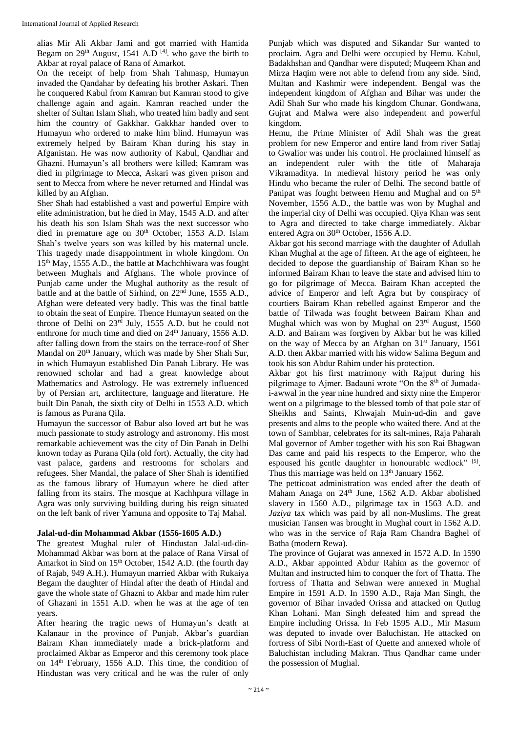alias Mir Ali Akbar Jami and got married with Hamida Begam on  $29<sup>th</sup>$  August, 1541 A.D<sup>[4]</sup>. who gave the birth to Akbar at royal palace of Rana of Amarkot.

On the receipt of help from Shah Tahmasp, Humayun invaded the Qandahar by defeating his brother Askari. Then he conquered Kabul from Kamran but Kamran stood to give challenge again and again. Kamran reached under the shelter of Sultan Islam Shah, who treated him badly and sent him the country of Gakkhar. Gakkhar handed over to Humayun who ordered to make him blind. Humayun was extremely helped by Bairam Khan during his stay in Afganistan. He was now authority of Kabul, Qandhar and Ghazni. Humayun's all brothers were killed; Kamram was died in pilgrimage to Mecca, Askari was given prison and sent to Mecca from where he never returned and Hindal was killed by an Afghan.

Sher Shah had established a vast and powerful Empire with elite administration, but he died in May, 1545 A.D. and after his death his son Islam Shah was the next successor who died in premature age on 30<sup>th</sup> October, 1553 A.D. Islam Shah's twelve years son was killed by his maternal uncle. This tragedy made disappointment in whole kingdom. On 15th May, 1555 A.D., the battle at Machchhiwara was fought between Mughals and Afghans. The whole province of Punjab came under the Mughal authority as the result of battle and at the battle of Sirhind, on 22nd June, 1555 A.D., Afghan were defeated very badly. This was the final battle to obtain the seat of Empire. Thence Humayun seated on the throne of Delhi on 23rd July, 1555 A.D. but he could not enthrone for much time and died on 24<sup>th</sup> January, 1556 A.D. after falling down from the stairs on the terrace-roof of Sher Mandal on 20<sup>th</sup> January, which was made by Sher Shah Sur, in which Humayun established Din Panah Library. He was renowned scholar and had a great knowledge about Mathematics and Astrology. He was extremely influenced by of Persian art, architecture, language and literature. He built Din Panah, the sixth city of Delhi in 1553 A.D. which is famous as Purana Qila.

Humayun the successor of Babur also loved art but he was much passionate to study astrology and astronomy. His most remarkable achievement was the city of Din Panah in Delhi known today as Purana Qila (old fort). Actually, the city had vast palace, gardens and restrooms for scholars and refugees. Sher Mandal, the palace of Sher Shah is identified as the famous library of Humayun where he died after falling from its stairs. The mosque at Kachhpura village in Agra was only surviving building during his reign situated on the left bank of river Yamuna and opposite to Taj Mahal.

# **Jalal-ud-din Mohammad Akbar (1556-1605 A.D.)**

The greatest Mughal ruler of Hindustan Jalal-ud-din-Mohammad Akbar was born at the palace of Rana Virsal of Amarkot in Sind on 15<sup>th</sup> October, 1542 A.D. (the fourth day of Rajab, 949 A.H.). Humayun married Akbar with Rukaiya Begam the daughter of Hindal after the death of Hindal and gave the whole state of Ghazni to Akbar and made him ruler of Ghazani in 1551 A.D. when he was at the age of ten years.

After hearing the tragic news of Humayun's death at Kalanaur in the province of Punjab, Akbar's guardian Bairam Khan immediately made a brick-platform and proclaimed Akbar as Emperor and this ceremony took place on  $14<sup>th</sup>$  February, 1556 A.D. This time, the condition of Hindustan was very critical and he was the ruler of only

Punjab which was disputed and Sikandar Sur wanted to proclaim. Agra and Delhi were occupied by Hemu. Kabul, Badakhshan and Qandhar were disputed; Muqeem Khan and Mirza Haqim were not able to defend from any side. Sind, Multan and Kashmir were independent. Bengal was the independent kingdom of Afghan and Bihar was under the Adil Shah Sur who made his kingdom Chunar. Gondwana, Gujrat and Malwa were also independent and powerful kingdom.

Hemu, the Prime Minister of Adil Shah was the great problem for new Emperor and entire land from river Satlaj to Gwalior was under his control. He proclaimed himself as an independent ruler with the title of Maharaja Vikramaditya. In medieval history period he was only Hindu who became the ruler of Delhi. The second battle of Panipat was fought between Hemu and Mughal and on  $5<sup>th</sup>$ November, 1556 A.D., the battle was won by Mughal and the imperial city of Delhi was occupied. Qiya Khan was sent to Agra and directed to take charge immediately. Akbar entered Agra on 30<sup>th</sup> October, 1556 A.D.

Akbar got his second marriage with the daughter of Adullah Khan Mughal at the age of fifteen. At the age of eighteen, he decided to depose the guardianship of Bairam Khan so he informed Bairam Khan to leave the state and advised him to go for pilgrimage of Mecca. Bairam Khan accepted the advice of Emperor and left Agra but by conspiracy of courtiers Bairam Khan rebelled against Emperor and the battle of Tilwada was fought between Bairam Khan and Mughal which was won by Mughal on 23rd August, 1560 A.D. and Bairam was forgiven by Akbar but he was killed on the way of Mecca by an Afghan on  $31<sup>st</sup>$  January, 1561 A.D. then Akbar married with his widow Salima Begum and took his son Abdur Rahim under his protection.

Akbar got his first matrimony with Rajput during his pilgrimage to Ajmer. Badauni wrote "On the  $8<sup>th</sup>$  of Jumadai-awwal in the year nine hundred and sixty nine the Emperor went on a pilgrimage to the blessed tomb of that pole star of Sheikhs and Saints, Khwajah Muin-ud-din and gave presents and alms to the people who waited there. And at the town of Sambhar, celebrates for its salt-mines, Raja Paharah Mal governor of Amber together with his son Rai Bhagwan Das came and paid his respects to the Emperor, who the espoused his gentle daughter in honourable wedlock" [5]. Thus this marriage was held on  $13<sup>th</sup>$  January 1562.

The petticoat administration was ended after the death of Maham Anaga on 24<sup>th</sup> June, 1562 A.D. Akbar abolished slavery in 1560 A.D., pilgrimage tax in 1563 A.D. and *Jaziya* tax which was paid by all non-Muslims. The great musician Tansen was brought in Mughal court in 1562 A.D. who was in the service of Raja Ram Chandra Baghel of Batha (modern Rewa).

The province of Gujarat was annexed in 1572 A.D. In 1590 A.D., Akbar appointed Abdur Rahim as the governor of Multan and instructed him to conquer the fort of Thatta. The fortress of Thatta and Sehwan were annexed in Mughal Empire in 1591 A.D. In 1590 A.D., Raja Man Singh, the governor of Bihar invaded Orissa and attacked on Qutlug Khan Lohani. Man Singh defeated him and spread the Empire including Orissa. In Feb 1595 A.D., Mir Masum was deputed to invade over Baluchistan. He attacked on fortress of Sibi North-East of Quette and annexed whole of Baluchistan including Makran. Thus Qandhar came under the possession of Mughal.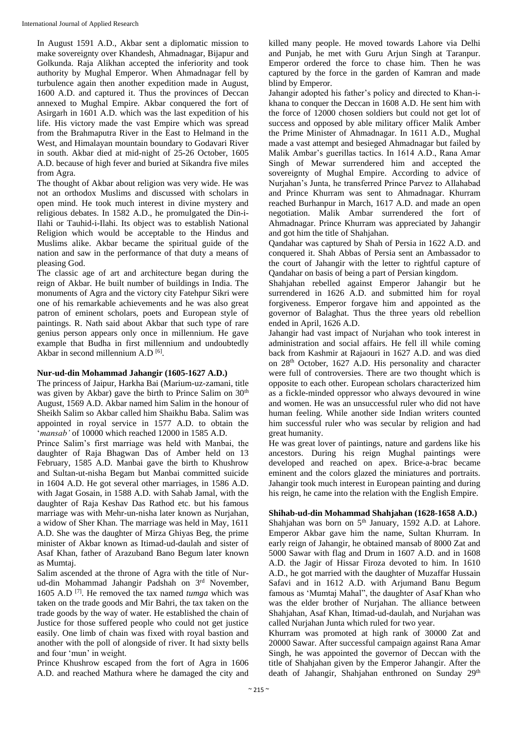In August 1591 A.D., Akbar sent a diplomatic mission to make sovereignty over Khandesh, Ahmadnagar, Bijapur and Golkunda. Raja Alikhan accepted the inferiority and took authority by Mughal Emperor. When Ahmadnagar fell by turbulence again then another expedition made in August, 1600 A.D. and captured it. Thus the provinces of Deccan annexed to Mughal Empire. Akbar conquered the fort of Asirgarh in 1601 A.D. which was the last expedition of his life. His victory made the vast Empire which was spread from the Brahmaputra River in the East to Helmand in the West, and Himalayan mountain boundary to Godavari River in south. Akbar died at mid-night of 25-26 October, 1605 A.D. because of high fever and buried at Sikandra five miles from Agra.

The thought of Akbar about religion was very wide. He was not an orthodox Muslims and discussed with scholars in open mind. He took much interest in divine mystery and religious debates. In 1582 A.D., he promulgated the Din-i-Ilahi or Tauhid-i-Ilahi. Its object was to establish National Religion which would be acceptable to the Hindus and Muslims alike. Akbar became the spiritual guide of the nation and saw in the performance of that duty a means of pleasing God.

The classic age of art and architecture began during the reign of Akbar. He built number of buildings in India. The monuments of Agra and the victory city Fatehpur Sikri were one of his remarkable achievements and he was also great patron of eminent scholars, poets and European style of paintings. R. Nath said about Akbar that such type of rare genius person appears only once in millennium. He gave example that Budha in first millennium and undoubtedly Akbar in second millennium A.D<sup>[6]</sup>.

# **Nur-ud-din Mohammad Jahangir (1605-1627 A.D.)**

The princess of Jaipur, Harkha Bai (Marium-uz-zamani, title was given by Akbar) gave the birth to Prince Salim on 30<sup>th</sup> August, 1569 A.D. Akbar named him Salim in the honour of Sheikh Salim so Akbar called him Shaikhu Baba. Salim was appointed in royal service in 1577 A.D. to obtain the '*mansab'* of 10000 which reached 12000 in 1585 A.D.

Prince Salim's first marriage was held with Manbai, the daughter of Raja Bhagwan Das of Amber held on 13 February, 1585 A.D. Manbai gave the birth to Khushrow and Sultan-ut-nisha Begam but Manbai committed suicide in 1604 A.D. He got several other marriages, in 1586 A.D. with Jagat Gosain, in 1588 A.D. with Sahab Jamal, with the daughter of Raja Keshav Das Rathod etc. but his famous marriage was with Mehr-un-nisha later known as Nurjahan, a widow of Sher Khan. The marriage was held in May, 1611 A.D. She was the daughter of Mirza Ghiyas Beg, the prime minister of Akbar known as Itimad-ud-daulah and sister of Asaf Khan, father of Arazuband Bano Begum later known as Mumtaj.

Salim ascended at the throne of Agra with the title of Nurud-din Mohammad Jahangir Padshah on 3rd November, 1605 A.D [7] . He removed the tax named *tumga* which was taken on the trade goods and Mir Bahri, the tax taken on the trade goods by the way of water. He established the chain of Justice for those suffered people who could not get justice easily. One limb of chain was fixed with royal bastion and another with the poll of alongside of river. It had sixty bells and four 'mun' in weight.

Prince Khushrow escaped from the fort of Agra in 1606 A.D. and reached Mathura where he damaged the city and killed many people. He moved towards Lahore via Delhi and Punjab, he met with Guru Arjun Singh at Taranpur. Emperor ordered the force to chase him. Then he was captured by the force in the garden of Kamran and made blind by Emperor.

Jahangir adopted his father's policy and directed to Khan-ikhana to conquer the Deccan in 1608 A.D. He sent him with the force of 12000 chosen soldiers but could not get lot of success and opposed by able military officer Malik Amber the Prime Minister of Ahmadnagar. In 1611 A.D., Mughal made a vast attempt and besieged Ahmadnagar but failed by Malik Ambar's guerillas tactics. In 1614 A.D., Rana Amar Singh of Mewar surrendered him and accepted the sovereignty of Mughal Empire. According to advice of Nurjahan's Junta, he transferred Prince Parvez to Allahabad and Prince Khurram was sent to Ahmadnagar. Khurram reached Burhanpur in March, 1617 A.D. and made an open negotiation. Malik Ambar surrendered the fort of Ahmadnagar. Prince Khurram was appreciated by Jahangir and got him the title of Shahjahan.

Qandahar was captured by Shah of Persia in 1622 A.D. and conquered it. Shah Abbas of Persia sent an Ambassador to the court of Jahangir with the letter to rightful capture of Qandahar on basis of being a part of Persian kingdom.

Shahjahan rebelled against Emperor Jahangir but he surrendered in 1626 A.D. and submitted him for royal forgiveness. Emperor forgave him and appointed as the governor of Balaghat. Thus the three years old rebellion ended in April, 1626 A.D.

Jahangir had vast impact of Nurjahan who took interest in administration and social affairs. He fell ill while coming back from Kashmir at Rajaouri in 1627 A.D. and was died on 28th October, 1627 A.D. His personality and character were full of controversies. There are two thought which is opposite to each other. European scholars characterized him as a fickle-minded oppressor who always devoured in wine and women. He was an unsuccessful ruler who did not have human feeling. While another side Indian writers counted him successful ruler who was secular by religion and had great humanity.

He was great lover of paintings, nature and gardens like his ancestors. During his reign Mughal paintings were developed and reached on apex. Brice-a-brac became eminent and the colors glazed the miniatures and portraits. Jahangir took much interest in European painting and during his reign, he came into the relation with the English Empire.

# **Shihab-ud-din Mohammad Shahjahan (1628-1658 A.D.)**

Shahjahan was born on 5<sup>th</sup> January, 1592 A.D. at Lahore. Emperor Akbar gave him the name, Sultan Khurram. In early reign of Jahangir, he obtained mansab of 8000 Zat and 5000 Sawar with flag and Drum in 1607 A.D. and in 1608 A.D. the Jagir of Hissar Firoza devoted to him. In 1610 A.D., he got married with the daughter of Muzaffar Hussain Safavi and in 1612 A.D. with Arjumand Banu Begum famous as 'Mumtaj Mahal", the daughter of Asaf Khan who was the elder brother of Nurjahan. The alliance between Shahjahan, Asaf Khan, Itimad-ud-daulah, and Nurjahan was called Nurjahan Junta which ruled for two year.

Khurram was promoted at high rank of 30000 Zat and 20000 Sawar. After successful campaign against Rana Amar Singh, he was appointed the governor of Deccan with the title of Shahjahan given by the Emperor Jahangir. After the death of Jahangir, Shahjahan enthroned on Sunday 29<sup>th</sup>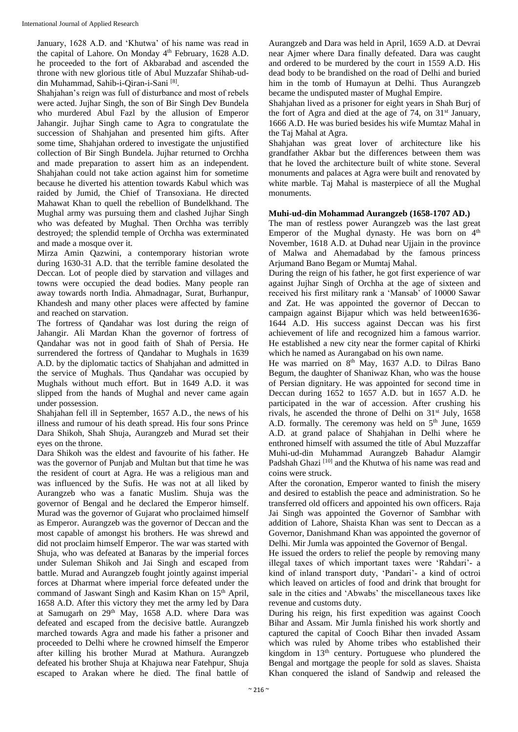January, 1628 A.D. and 'Khutwa' of his name was read in the capital of Lahore. On Monday 4<sup>th</sup> February, 1628 A.D. he proceeded to the fort of Akbarabad and ascended the throne with new glorious title of Abul Muzzafar Shihab-uddin Muhammad, Sahib-i-Qiran-i-Sani [8] .

Shahjahan's reign was full of disturbance and most of rebels were acted. Jujhar Singh, the son of Bir Singh Dev Bundela who murdered Abul Fazl by the allusion of Emperor Jahangir. Jujhar Singh came to Agra to congratulate the succession of Shahjahan and presented him gifts. After some time, Shahjahan ordered to investigate the unjustified collection of Bir Singh Bundela. Jujhar returned to Orchha and made preparation to assert him as an independent. Shahjahan could not take action against him for sometime because he diverted his attention towards Kabul which was raided by Jumid, the Chief of Transoxiana. He directed Mahawat Khan to quell the rebellion of Bundelkhand. The Mughal army was pursuing them and clashed Jujhar Singh who was defeated by Mughal. Then Orchha was terribly destroyed; the splendid temple of Orchha was exterminated and made a mosque over it.

Mirza Amin Qazwini, a contemporary historian wrote during 1630-31 A.D. that the terrible famine desolated the Deccan. Lot of people died by starvation and villages and towns were occupied the dead bodies. Many people ran away towards north India. Ahmadnagar, Surat, Burhanpur, Khandesh and many other places were affected by famine and reached on starvation.

The fortress of Qandahar was lost during the reign of Jahangir. Ali Mardan Khan the governor of fortress of Qandahar was not in good faith of Shah of Persia. He surrendered the fortress of Qandahar to Mughals in 1639 A.D. by the diplomatic tactics of Shahjahan and admitted in the service of Mughals. Thus Qandahar was occupied by Mughals without much effort. But in 1649 A.D. it was slipped from the hands of Mughal and never came again under possession.

Shahjahan fell ill in September, 1657 A.D., the news of his illness and rumour of his death spread. His four sons Prince Dara Shikoh, Shah Shuja, Aurangzeb and Murad set their eyes on the throne.

Dara Shikoh was the eldest and favourite of his father. He was the governor of Punjab and Multan but that time he was the resident of court at Agra. He was a religious man and was influenced by the Sufis. He was not at all liked by Aurangzeb who was a fanatic Muslim. Shuja was the governor of Bengal and he declared the Emperor himself. Murad was the governor of Gujarat who proclaimed himself as Emperor. Aurangzeb was the governor of Deccan and the most capable of amongst his brothers. He was shrewd and did not proclaim himself Emperor. The war was started with Shuja, who was defeated at Banaras by the imperial forces under Suleman Shikoh and Jai Singh and escaped from battle. Murad and Aurangzeb fought jointly against imperial forces at Dharmat where imperial force defeated under the command of Jaswant Singh and Kasim Khan on 15<sup>th</sup> April, 1658 A.D. After this victory they met the army led by Dara at Samugarh on 29<sup>th</sup> May, 1658 A.D. where Dara was defeated and escaped from the decisive battle. Aurangzeb marched towards Agra and made his father a prisoner and proceeded to Delhi where he crowned himself the Emperor after killing his brother Murad at Mathura. Aurangzeb defeated his brother Shuja at Khajuwa near Fatehpur, Shuja escaped to Arakan where he died. The final battle of

Aurangzeb and Dara was held in April, 1659 A.D. at Devrai near Ajmer where Dara finally defeated. Dara was caught and ordered to be murdered by the court in 1559 A.D. His dead body to be brandished on the road of Delhi and buried him in the tomb of Humayun at Delhi. Thus Aurangzeb became the undisputed master of Mughal Empire.

Shahjahan lived as a prisoner for eight years in Shah Burj of the fort of Agra and died at the age of 74, on 31st January, 1666 A.D. He was buried besides his wife Mumtaz Mahal in the Taj Mahal at Agra.

Shahjahan was great lover of architecture like his grandfather Akbar but the differences between them was that he loved the architecture built of white stone. Several monuments and palaces at Agra were built and renovated by white marble. Taj Mahal is masterpiece of all the Mughal monuments.

# **Muhi-ud-din Mohammad Aurangzeb (1658-1707 AD.)**

The man of restless power Aurangzeb was the last great Emperor of the Mughal dynasty. He was born on 4<sup>th</sup> November, 1618 A.D. at Duhad near Ujjain in the province of Malwa and Ahemadabad by the famous princess Arjumand Bano Begam or Mumtaj Mahal.

During the reign of his father, he got first experience of war against Jujhar Singh of Orchha at the age of sixteen and received his first military rank a 'Mansab' of 10000 Sawar and Zat. He was appointed the governor of Deccan to campaign against Bijapur which was held between1636- 1644 A.D. His success against Deccan was his first achievement of life and recognized him a famous warrior. He established a new city near the former capital of Khirki which he named as Aurangabad on his own name.

He was married on  $8<sup>th</sup>$  May, 1637 A.D. to Dilras Bano Begum, the daughter of Shaniwaz Khan, who was the house of Persian dignitary. He was appointed for second time in Deccan during 1652 to 1657 A.D. but in 1657 A.D. he participated in the war of accession. After crushing his rivals, he ascended the throne of Delhi on  $31<sup>st</sup>$  July, 1658 A.D. formally. The ceremony was held on  $5<sup>th</sup>$  June, 1659 A.D. at grand palace of Shahjahan in Delhi where he enthroned himself with assumed the title of Abul Muzzaffar Muhi-ud-din Muhammad Aurangzeb Bahadur Alamgir Padshah Ghazi <a>[10]</a> and the Khutwa of his name was read and coins were struck.

After the coronation, Emperor wanted to finish the misery and desired to establish the peace and administration. So he transferred old officers and appointed his own officers. Raja Jai Singh was appointed the Governor of Sambhar with addition of Lahore, Shaista Khan was sent to Deccan as a Governor, Danishmand Khan was appointed the governor of Delhi. Mir Jumla was appointed the Governor of Bengal.

He issued the orders to relief the people by removing many illegal taxes of which important taxes were 'Rahdari'- a kind of inland transport duty, 'Pandari'- a kind of octroi which leaved on articles of food and drink that brought for sale in the cities and 'Abwabs' the miscellaneous taxes like revenue and customs duty.

During his reign, his first expedition was against Cooch Bihar and Assam. Mir Jumla finished his work shortly and captured the capital of Cooch Bihar then invaded Assam which was ruled by Ahome tribes who established their kingdom in 13<sup>th</sup> century. Portuguese who plundered the Bengal and mortgage the people for sold as slaves. Shaista Khan conquered the island of Sandwip and released the